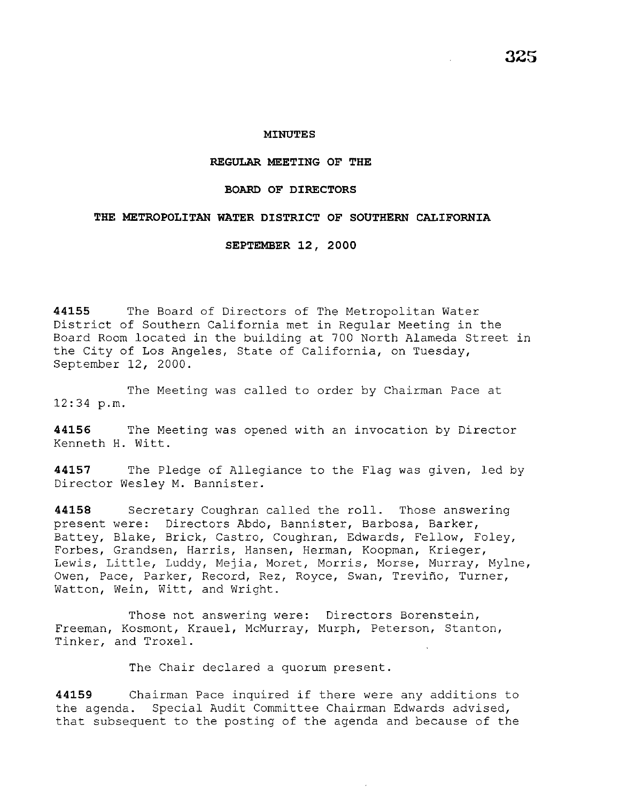## **MINUTES**

## **REGULAR MEETING OF THE**

## **BOARD OF DIRECTORS**

## **THE METROPOLITAN WATER DISTRICT OF SOUTHERN CALIFORNIA**

**SEPTEMBER 12, 2000** 

**44155** The Board of Directors of The Metropolitan Water District of Southern California met in Regular Meeting in the Board Room located in the building at 700 North Alameda Street in the City of Los Angeles, State of California, on Tuesday, September 12, 2000.

The Meeting was called to order by Chairman Pace at 12:34 p.m.

**44156** The Meeting was opened with an invocation by Director Kenneth H. Witt.

**44157** The Pledge of Allegiance to the Flag was given, led by Director Wesley M. Bannister.

**44158** Secretary Coughran called the roll. Those answering present were: Directors Abdo, Bannister, Barbosa, Barker, Battey, Blake, Brick, Castro, Coughran, Edwards, Fellow, Foley, Forbes, Grandsen, Harris, Hansen, Herman, Koopman, Krieger, Lewis, Little, Luddy, Mejia, Moret, Morris, Morse, Murray, Mylne, Owen, Pace, Parker, Record, Rez, Royce, Swan, Trevino, Turner, Watton, Wein, Witt, and Wright.

Those not answering were: Directors Borenstein, Freeman, Kosmont, Krauel, McMurray, Murph, Peterson, Stanton, Tinker, and Troxel.

The Chair declared a quorum present.

**<sup>44159</sup>**Chairman Pace inquired if there were any additions to the agenda. Special Audit Committee Chairman Edwards advised, that subsequent to the posting of the agenda and because of the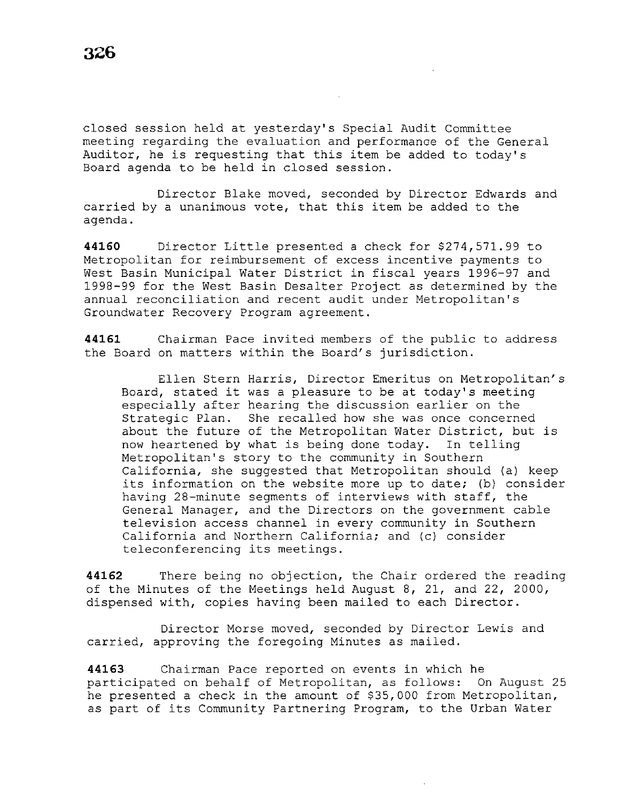closed session held at yesterday's Special Audit Committee meeting regarding the evaluation and performance of the General Auditor, he is requesting that this item be added to today's Board agenda to be held in closed session.

Director Blake moved, seconded by Director Edwards and carried by a unanimous vote, that this item be added to the agenda.

**44160** Director Little presented a check for \$274,571.99 to Metropolitan for reimbursement of excess incentive payments to West Basin Municipal Water District in fiscal years 1996-97 and 1998-99 for the West Basin Desalter Project as determined by the annual reconciliation and recent audit under Metropolitan's Groundwater Recovery Program agreement.

**44161** Chairman Pace invited members of the public to address the Board on matters within the Board's jurisdiction.

Ellen Stern Harris, Director Emeritus on Metropolitan's Board, stated it was a pleasure to be at today's meeting especially after hearing the discussion earlier on the<br>Strategic Plan. She recalled how she was once concerne She recalled how she was once concerned about the future of the Metropolitan Water District, but is now heartened by what is being done today. In telling Metropolitan's story to the community in Southern California, she suggested that Metropolitan should (a) keep its information on the website more up to date; (b) consider having 28-minute segments of interviews with staff, the General Manager, and the Directors on the government cable television access channel in every community in Southern California and Northern California; and (c) consider teleconferencing its meetings.

**44162** There being no objection, the Chair ordered the reading of the Minutes of the Meetings held August 8, 21, and 22, 2000, dispensed with, copies having been mailed to each Director.

Director Morse moved, seconded by Director Lewis and carried, approving the foregoing Minutes as mailed.

**44163** Chairman Pace reported on events in which he participated on behalf of Metropolitan, as follows: On August 25 he presented a check in the amount of \$35,000 from Metropolitan, as part of its Community Partnering Program, to the Urban Water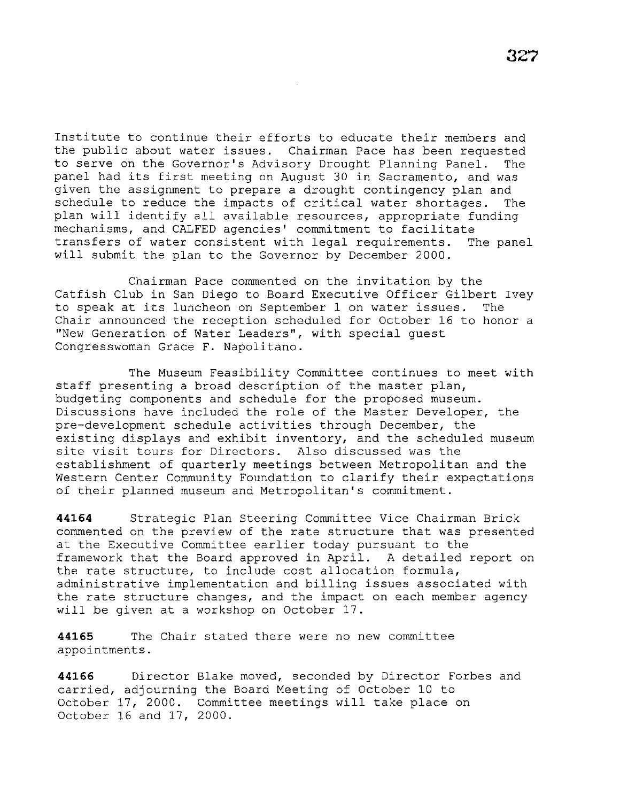Institute to continue their efforts to educate their members and the public about water issues. Chairman Pace has been requested to serve on the Governor's Advisory Drought Planning Panel. The panel had its first meeting on August 30 in Sacramento, and was given the assignment to prepare a drought contingency plan and schedule to reduce the impacts of critical water shortages. The plan will identify all available resources, appropriate funding mechanisms, and CALFED agencies' commitment to facilitate<br>transfers of water consistent with legal requirements. The panel transfers of water consistent with legal requirements. will submit the plan to the Governor by December 2000.

Chairman Pace commented on the invitation by the Catfish Club in San Diego to Board Executive Officer Gilbert Ivey to speak at its luncheon on September l on water issues. The Chair announced the reception scheduled for October 16 to honor a "New Generation of Water Leaders", with special guest Congresswoman Grace F. Napolitano.

The Museum Feasibility Committee continues to meet with staff presenting a broad description of the master plan, budgeting components and schedule for the proposed museum. Discussions have included the role of the Master Developer, the pre-development schedule activities through December, the existing displays and exhibit inventory, and the scheduled museum site visit tours for Directors. Also discussed was the establishment of quarterly meetings between Metropolitan and the Western Center Community Foundation to clarify their expectations of their planned museum and Metropolitan's commitment.

**44164** Strategic Plan Steering Committee Vice Chairman Brick commented on the preview of the rate structure that was presented at the Executive Committee earlier today pursuant to the framework that the Board approved in April. A detailed report on the rate structure, to include cost allocation formula, administrative implementation and billing issues associated with the rate structure changes, and the impact on each member agency will be given at a workshop on October 17.

**44165** The Chair stated there were no new committee appointments.

**44166** Director Blake moved, seconded by Director Forbes and carried, adjourning the Board Meeting of October 10 to October 17, 2000. Committee meetings will take place on October 16 and 17, 2000.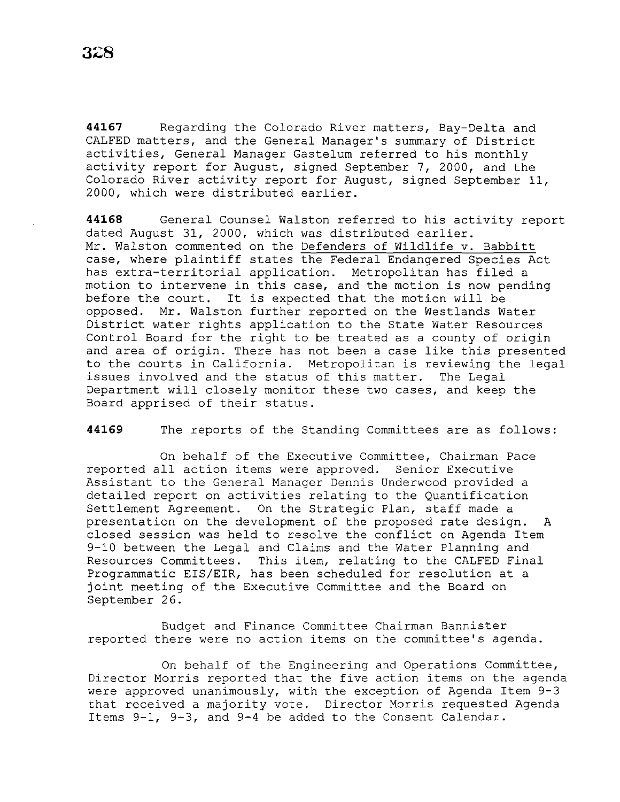**44167** Regarding the Colorado River matters, Bay-Delta and CALFED matters, and the General Manager's summary of District activities, General Manager Gastelum referred to his monthly activity report for August, signed September 7, 2000, and the Colorado River activity report for August, signed September 11, 2000, which were distributed earlier.

**44168** General Counsel Walston referred to his activity report dated August 31, 2000, which was distributed earlier. Mr. Walston commented on the Defenders of Wildlife v. Babbitt case, where plaintiff states the Federal Endangered Species Act has extra-territorial application. Metropolitan has filed a motion to intervene in this case, and the motion is now pending before the court. It is expected that the motion will be opposed. Mr. Walston further reported on the Westlands Water District water rights application to the State Water Resources Control Board for the right to be treated as a county of origin and area of origin. There has not been a case like this presented<br>to the courts in California. Metropolitan is reviewing the legal Metropolitan is reviewing the legal issues involved and the status of this matter. The Legal Department will closely monitor these two cases, and keep the Board apprised of their status.

**44169** The reports of the Standing Committees are as follows:

On behalf of the Executive Committee, Chairman Pace reported all action items were approved. Senior Executive Assistant to the General Manager Dennis Underwood provided a detailed report on activities relating to the Quantification Settlement Agreement. On the Strategic Plan, staff made a presentation on the development of the proposed rate design. A closed session was held to resolve the conflict on Agenda Item 9-10 between the Legal and Claims and the Water Planning and Resources Committees. This item, relating to the CALFED Final Programmatic EIS/EIR, has been scheduled for resolution at a joint meeting of the Executive Committee and the Board on September 26.

Budget and Finance Committee Chairman Bannister reported there were no action items on the committee's agenda.

On behalf of the Engineering and Operations Committee, Director Morris reported that the five action items on the agenda were approved unanimously, with the exception of Agenda Item 9-3 that received a majority vote. Director Morris requested Agenda Items 9-1, 9-3, and 9-4 be added to the Consent Calendar.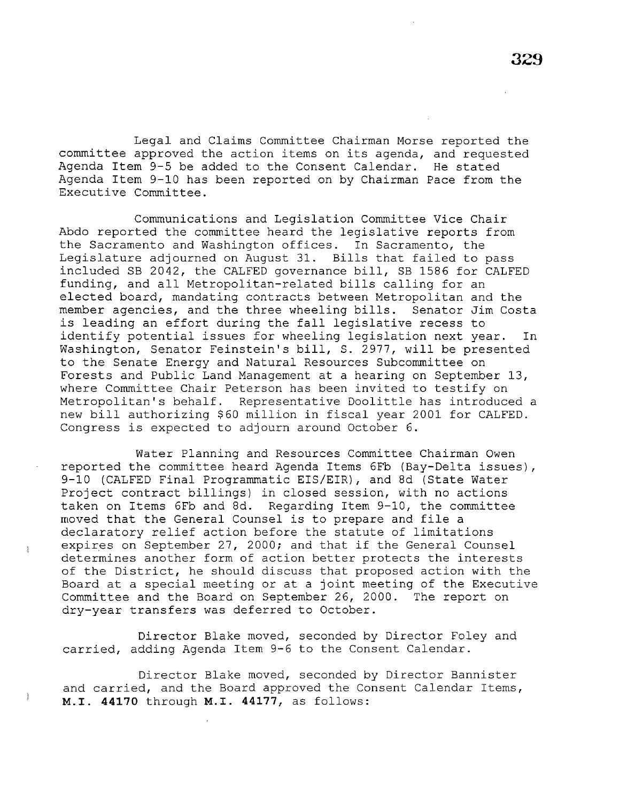Legal and Claims Committee Chairman Morse reported the committee approved the action items on its agenda, and requested Agenda Item 9-5 be added to the Consent Calendar. He stated Agenda Item 9-10 has been reported on by Chairman Pace from the Executive Committee.

Communications and Legislation Committee Vice Chair Abdo reported the committee heard the legislative reports from the Sacramento and Washington offices. In Sacramento, the Legislature adjourned on August 31. Bills that failed to pass included SB 2042, the CALFED governance bill, SB 1586 for CALFED funding, and all Metropolitan-related bills calling for an elected board, mandating contracts between Metropolitan and the member agencies, and the three wheeling bills. Senator Jim Costa is leading an effort during the fall legislative recess to identify potential issues for wheeling legislation next year. In Washington, Senator Feinstein's bill, S. 2977, will be presented to the Senate Energy and Natural Resources Subcommittee on Forests and Public Land Management at a hearing on September 13, where Committee Chair Peterson has been invited to testify on Metropolitan's behalf. Representative Doolittle has introduced a new bill authorizing \$60 million in fiscal year 2001 for CALFED. Congress is expected to adjourn around October 6.

Water Planning and Resources Committee Chairman Owen reported the committee heard Agenda Items 6Fb (Bay-Delta issues), 9-10 (CALFED Final Programmatic EIS/EIR), and 8d (State Water Project contract billings) in closed session, with no actions taken on Items 6Fb and 8d. Regarding Item 9-10, the committee moved that the General Counsel is to prepare and file a declaratory relief action before the statute of limitations expires on September 27, 2000; and that if the General Counsel determines another form of action better protects the interests of the District, he should discuss that proposed action with the Board at a special meeting or at a joint meeting of the Executive Committee and the Board on September 26, 2000. The report on dry-year transfers was deferred to October.

 $\mathbf{I}$ 

Director Blake moved, seconded by Director Foley and carried, adding Agenda Item 9-6 to the Consent Calendar.

Director Blake moved, seconded by Director Bannister and carried, and the Board approved the Consent Calendar Items, M.I. **44170** through M.I. **44177,** as follows: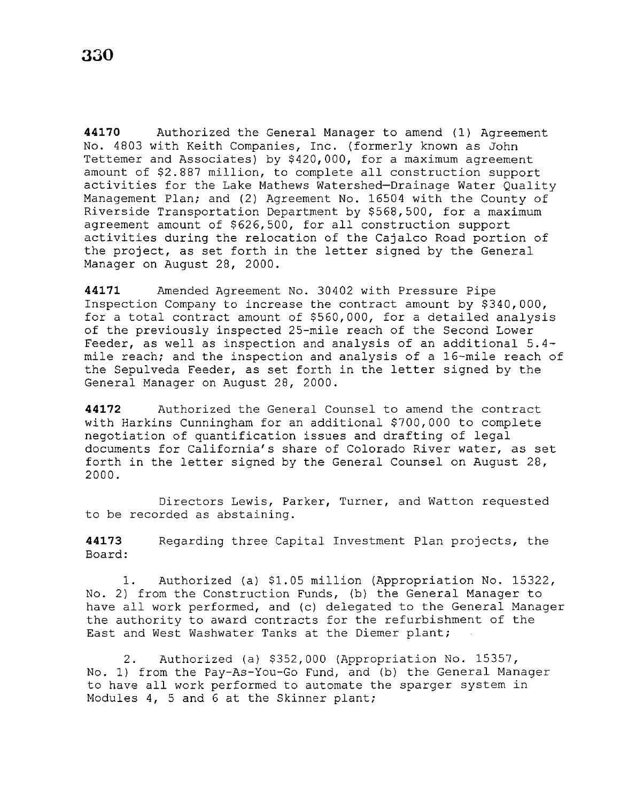**44170** Authorized the General Manager to amend (1) Agreement No. 4803 with Keith Companies, Inc. (formerly known as John Tettemer and Associates) by \$420,000, for a maximum agreement amount of \$2.887 million, to complete all construction support activities for the Lake Mathews Watershed-Drainage Water Quality Management Plan; and (2) Agreement No. 16504 with the County of Riverside Transportation Department by \$568,500, for a maximum agreement amount of \$626,500, for all construction support activities during the relocation of the Cajalco Road portion of the project, as set forth in the letter signed by the General Manager on August 28, 2000.

**44171** Amended Agreement No. 30402 with Pressure Pipe Inspection Company to increase the contract amount by \$340,000, for a total contract amount of \$560,000, for a detailed analysis of the previously inspected 25-mile reach of the Second Lower Feeder, as well as inspection and analysis of an additional 5.4 mile reach; and the inspection and analysis of a 16-mile reach of the Sepulveda Feeder, as set forth in the letter signed by the General Manager on August 28, 2000.

**44172** Authorized the General Counsel to amend the contract with Harkins Cunningham for an additional \$700,000 to complete negotiation of quantification issues and drafting of legal documents for California's share of Colorado River water, as set forth in the letter signed by the General Counsel on August 28, 2000.

Directors Lewis, Parker, Turner, and Watton requested to be recorded as abstaining.

**44173**  Board: Regarding three Capital Investment Plan projects, the

1. Authorized (a) \$1.05 million (Appropriation No. 15322, No. 2) from the Construction Funds, (b) the General Manager to have all work performed, and (c) delegated to the General Manager the authority to award contracts for the refurbishment of the East and West Washwater Tanks at the Diemer plant;

2. Authorized (a) \$352,000 (Appropriation No. 15357, No. 1) from the Pay-As-You-Go Fund, and (b) the General Manager to have all work performed to automate the sparger system in Modules 4, 5 and 6 at the Skinner plant;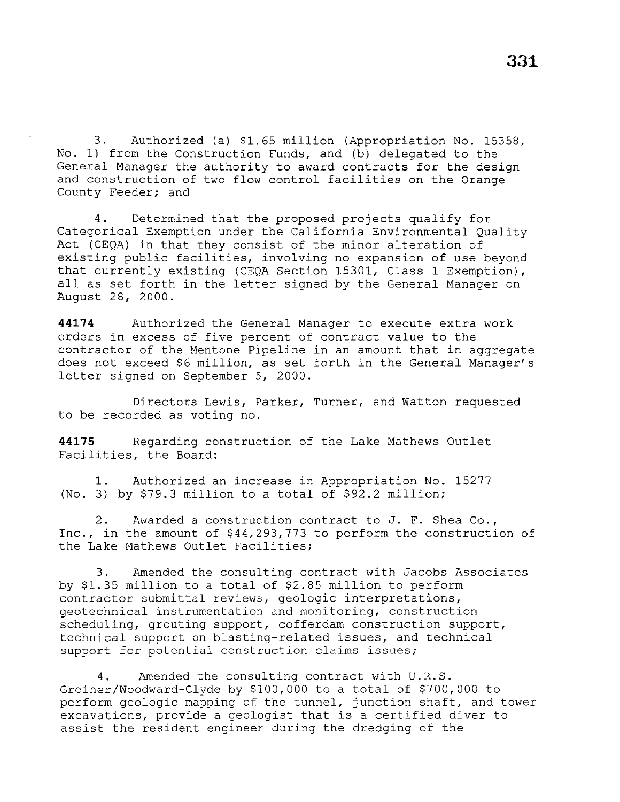3. Authorized (a) \$1.65 million (Appropriation No. 15358, No. 1) from the Construction Funds, and (b) delegated to the General Manager the authority to award contracts for the design and construction of two flow control facilities on the Orange County Feeder; and

4. Determined that the proposed projects qualify for Categorical Exemption under the California Environmental Quality Act (CEQA) in that they consist of the minor alteration of existing public facilities, involving no expansion of use beyond that currently existing (CEQA Section 15301, Class 1 Exemption), all as set forth in the letter signed by the General Manager on August 28, 2000.

**44174** Authorized the General Manager to execute extra work orders in excess of five percent of contract value to the contractor of the Mentone Pipeline in an amount that in aggregate does not exceed \$6 million, as set forth in the General Manager's letter signed on September 5, 2000.

Directors Lewis, Parker, Turner, and Watton requested to be recorded as voting no.

**44175** Regarding construction of the Lake Mathews Outlet Facilities, the Board:

1. Authorized an increase in Appropriation No. 15277 (No. 3) by \$79.3 million to a total of \$92.2 million;

2. Awarded a construction contract to J. F. Shea Co., Inc., in the amount of \$44,293,773 to perform the construction of the Lake Mathews Outlet Facilities;

3. Amended the consulting contract with Jacobs Associates by \$1.35 million to a total of \$2.85 million to perform contractor submittal reviews, geologic interpretations, geotechnical instrumentation and monitoring, construction scheduling, grouting support, cofferdam construction support, technical support on blasting-related issues, and technical support for potential construction claims issues;

4. Amended the consulting contract with U.R.S. Greiner/Woodward-Clyde by \$100,000 to a total of \$700,000 to perform geologic mapping of the tunnel, junction shaft, and tower excavations, provide a geologist that is a certified diver to assist the resident engineer during the dredging of the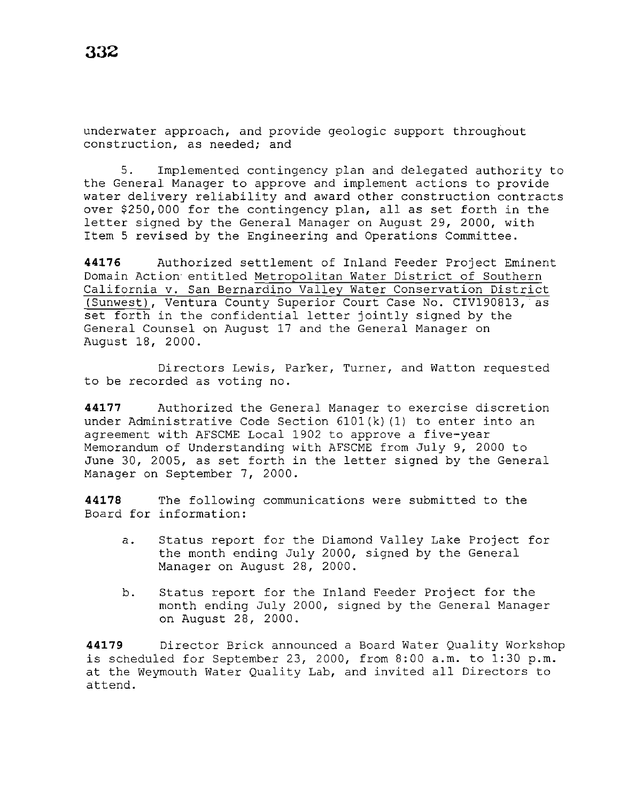underwater approach, and provide geologic support throughout construction, as needed; and

5. Implemented contingency plan and delegated authority to the General Manager to approve and implement actions to provide water delivery reliability and award other construction contracts over \$250,000 for the contingency plan, all as set forth in the letter signed by the General Manager on August 29, 2000, with Item 5 revised by the Engineering and Operations Committee.

**44176** Authorized settlement of Inland Feeder Project Eminent Domain Action entitled Metropolitan Water District of Southern California v. San Bernardino Valley Water Conservation District (Sunwest), Ventura County Superior Court Case No. CIV190813, as set forth in the confidential letter jointly signed by the General Counsel on August 17 and the General Manager on August 18, 2000.

Directors Lewis, Parker, Turner, and Watton requested to be recorded as voting no.

**44177** Authorized the General Manager to exercise discretion under Administrative Code Section 6101(k) (1) to enter into an agreement with AFSCME Local 1902 to approve a five-year Memorandum of Understanding with AFSCME from July 9, 2000 to June 30, 2005, as set forth in the letter signed by the General Manager on September 7, 2000.

**44178** The following communications were submitted to the Board for information:

- a. Status report for the Diamond Valley Lake Project for the month ending July 2000, signed by the General Manager on August 28, 2000.
- b. Status report for the Inland Feeder Project for the month ending July 2000, signed by the General Manager on August 28, 2000.

**44179** Director Brick announced a Board Water Quality Workshop is scheduled for September 23, 2000, from 8:00 a.m. to 1:30 p.m. at the Weymouth Water Quality Lab, and invited all Directors to attend.